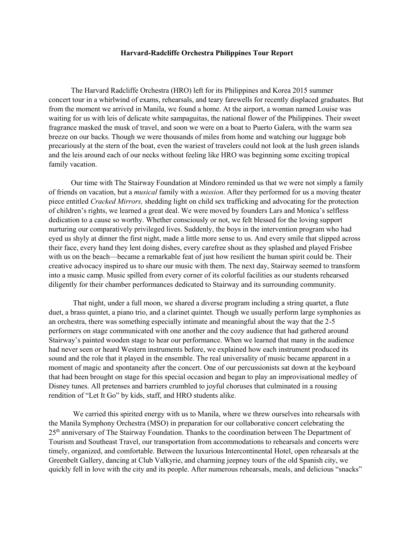## **Harvard-Radcliffe Orchestra Philippines Tour Report**

 The Harvard Radcliffe Orchestra (HRO) left for its Philippines and Korea 2015 summer concert tour in a whirlwind of exams, rehearsals, and teary farewells for recently displaced graduates. But from the moment we arrived in Manila, we found a home. At the airport, a woman named Louise was waiting for us with leis of delicate white sampaguitas, the national flower of the Philippines. Their sweet fragrance masked the musk of travel, and soon we were on a boat to Puerto Galera, with the warm sea breeze on our backs. Though we were thousands of miles from home and watching our luggage bob precariously at the stern of the boat, even the wariest of travelers could not look at the lush green islands and the leis around each of our necks without feeling like HRO was beginning some exciting tropical family vacation.

 Our time with The Stairway Foundation at Mindoro reminded us that we were not simply a family of friends on vacation, but a *musical* family with a *mission*. After they performed for us a moving theater piece entitled *Cracked Mirrors,* shedding light on child sex trafficking and advocating for the protection of children's rights, we learned a great deal. We were moved by founders Lars and Monica's selfless dedication to a cause so worthy. Whether consciously or not, we felt blessed for the loving support nurturing our comparatively privileged lives. Suddenly, the boys in the intervention program who had eyed us shyly at dinner the first night, made a little more sense to us. And every smile that slipped across their face, every hand they lent doing dishes, every carefree shout as they splashed and played Frisbee with us on the beach—became a remarkable feat of just how resilient the human spirit could be. Their creative advocacy inspired us to share our music with them. The next day, Stairway seemed to transform into a music camp. Music spilled from every corner of its colorful facilities as our students rehearsed diligently for their chamber performances dedicated to Stairway and its surrounding community.

That night, under a full moon, we shared a diverse program including a string quartet, a flute duet, a brass quintet, a piano trio, and a clarinet quintet. Though we usually perform large symphonies as an orchestra, there was something especially intimate and meaningful about the way that the 2-5 performers on stage communicated with one another and the cozy audience that had gathered around Stairway's painted wooden stage to hear our performance. When we learned that many in the audience had never seen or heard Western instruments before, we explained how each instrument produced its sound and the role that it played in the ensemble. The real universality of music became apparent in a moment of magic and spontaneity after the concert. One of our percussionists sat down at the keyboard that had been brought on stage for this special occasion and began to play an improvisational medley of Disney tunes. All pretenses and barriers crumbled to joyful choruses that culminated in a rousing rendition of "Let It Go" by kids, staff, and HRO students alike.

We carried this spirited energy with us to Manila, where we threw ourselves into rehearsals with the Manila Symphony Orchestra (MSO) in preparation for our collaborative concert celebrating the 25th anniversary of The Stairway Foundation. Thanks to the coordination between The Department of Tourism and Southeast Travel, our transportation from accommodations to rehearsals and concerts were timely, organized, and comfortable. Between the luxurious Intercontinental Hotel, open rehearsals at the Greenbelt Gallery, dancing at Club Valkyrie, and charming jeepney tours of the old Spanish city, we quickly fell in love with the city and its people. After numerous rehearsals, meals, and delicious "snacks"